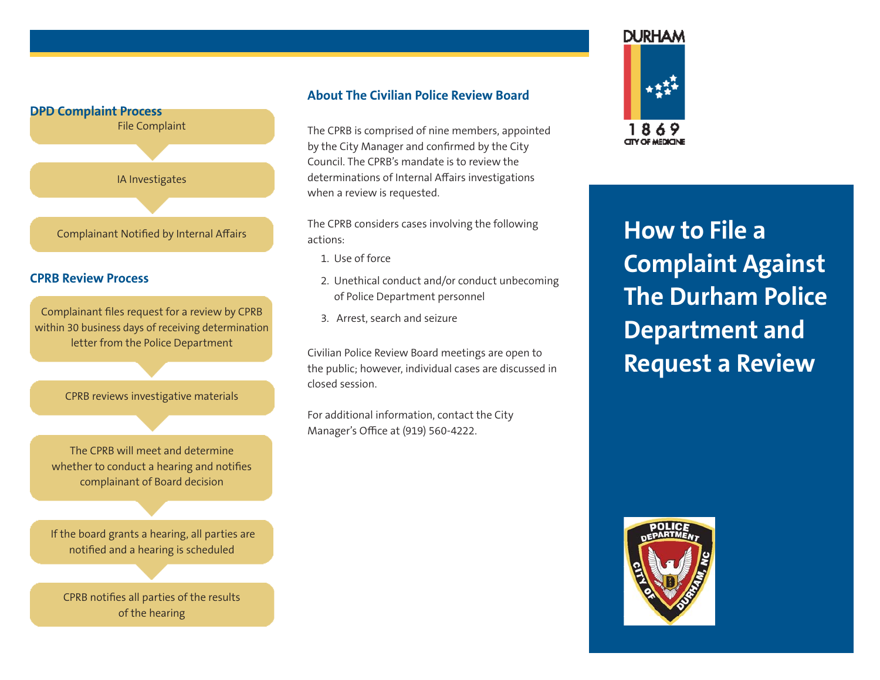

# **About The Civilian Police Review Board**

The CPRB is comprised of nine members, appointed by the City Manager and confirmed by the City Council. The CPRB's mandate is to review the determinations of Internal Affairs investigations when a review is requested.

The CPRB considers cases involving the following actions:

- 1. Use of force
- 2. Unethical conduct and/or conduct unbecoming of Police Department personnel
- 3. Arrest, search and seizure

Civilian Police Review Board meetings are open to the public; however, individual cases are discussed in closed session.

For additional information, contact the City Manager's Office at (919) 560-4222.



**DURHAM** 

**How to File a Complaint Against The Durham Police Department and Request a Review**